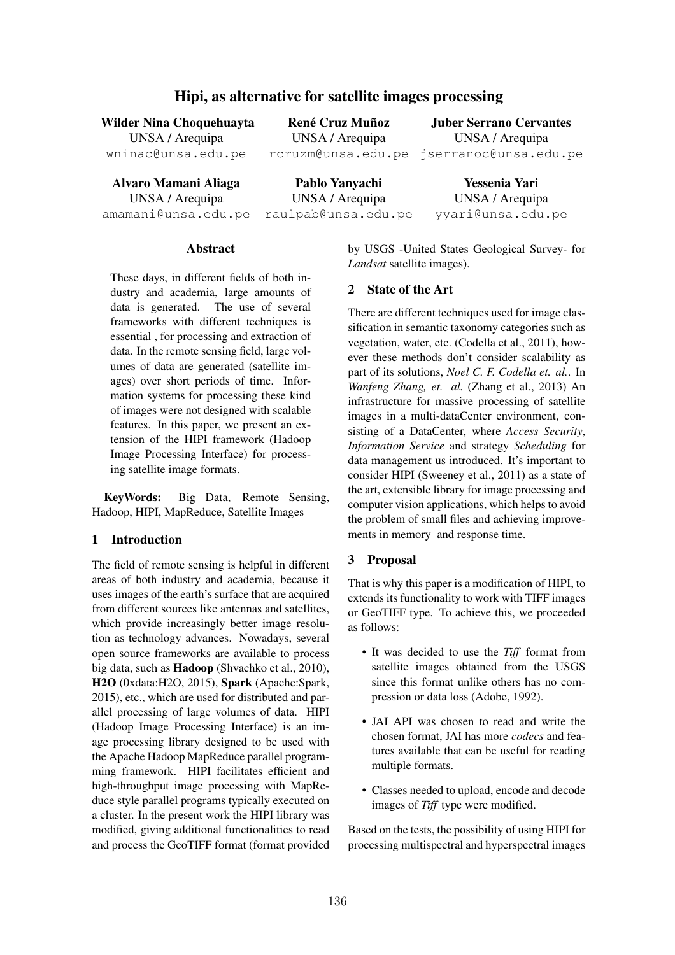# Hipi, as alternative for satellite images processing

Wilder Nina Choquehuayta UNSA / Arequipa wninac@unsa.edu.pe

René Cruz Muñoz UNSA / Arequipa

rcruzm@unsa.edu.pe jserranoc@unsa.edu.pe Juber Serrano Cervantes UNSA / Arequipa

Alvaro Mamani Aliaga UNSA / Arequipa amamani@unsa.edu.pe

Pablo Yanyachi UNSA / Arequipa raulpab@unsa.edu.pe

Yessenia Yari UNSA / Arequipa yyari@unsa.edu.pe

#### Abstract

These days, in different fields of both industry and academia, large amounts of data is generated. The use of several frameworks with different techniques is essential , for processing and extraction of data. In the remote sensing field, large volumes of data are generated (satellite images) over short periods of time. Information systems for processing these kind of images were not designed with scalable features. In this paper, we present an extension of the HIPI framework (Hadoop Image Processing Interface) for processing satellite image formats.

KeyWords: Big Data, Remote Sensing, Hadoop, HIPI, MapReduce, Satellite Images

#### 1 Introduction

The field of remote sensing is helpful in different areas of both industry and academia, because it uses images of the earth's surface that are acquired from different sources like antennas and satellites, which provide increasingly better image resolution as technology advances. Nowadays, several open source frameworks are available to process big data, such as Hadoop (Shvachko et al., 2010), H2O (0xdata:H2O, 2015), Spark (Apache:Spark, 2015), etc., which are used for distributed and parallel processing of large volumes of data. HIPI (Hadoop Image Processing Interface) is an image processing library designed to be used with the Apache Hadoop MapReduce parallel programming framework. HIPI facilitates efficient and high-throughput image processing with MapReduce style parallel programs typically executed on a cluster. In the present work the HIPI library was modified, giving additional functionalities to read and process the GeoTIFF format (format provided by USGS -United States Geological Survey- for *Landsat* satellite images).

### 2 State of the Art

There are different techniques used for image classification in semantic taxonomy categories such as vegetation, water, etc. (Codella et al., 2011), however these methods don't consider scalability as part of its solutions, *Noel C. F. Codella et. al.*. In *Wanfeng Zhang, et. al.* (Zhang et al., 2013) An infrastructure for massive processing of satellite images in a multi-dataCenter environment, consisting of a DataCenter, where *Access Security*, *Information Service* and strategy *Scheduling* for data management us introduced. It's important to consider HIPI (Sweeney et al., 2011) as a state of the art, extensible library for image processing and computer vision applications, which helps to avoid the problem of small files and achieving improvements in memory and response time.

#### 3 Proposal

That is why this paper is a modification of HIPI, to extends its functionality to work with TIFF images or GeoTIFF type. To achieve this, we proceeded as follows:

- It was decided to use the *Tiff* format from satellite images obtained from the USGS since this format unlike others has no compression or data loss (Adobe, 1992).
- JAI API was chosen to read and write the chosen format, JAI has more *codecs* and features available that can be useful for reading multiple formats.
- Classes needed to upload, encode and decode images of *Tiff* type were modified.

Based on the tests, the possibility of using HIPI for processing multispectral and hyperspectral images